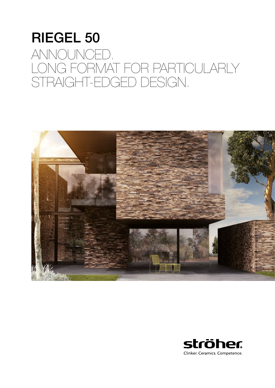## RIEGEL 50 ANNOUNCED. LONG FORMAT FOR PARTICULARLY STRAIGHT-EDGED DESIGN.



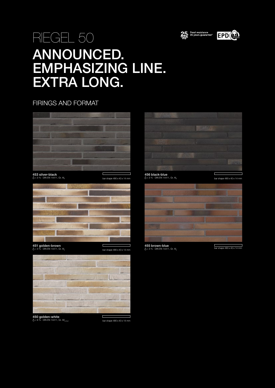



## RIEGEL 50 ANNOUNCED. EMPHASIZING LINE. EXTRA LONG.

FIRINGS AND FORMAT



**453 silver-black**<br>∆< 3 % · DIN EN 14411, Gr. Al<sub>i</sub>



**451 golden-brown**<br>Å < 3 % · DIN EN 14411, Gr. Al<sub>b</sub>



**450 golden-white**<br>Å< 6 % · DIN EN 14411, Gr. All<sub>a-Part1</sub>

bar shape 490 x 40 x 14 mm



**456 black-blue**<br>∆< 3 % · DIN EN 14411, Gr. Al<sub>L</sub> bar shape  $490 \times 40 \times 14$  mm  $0 < 3\%$  · DIN EN 14411, Gr. Al<sub>b</sub> bar shape  $490 \times 40 \times 14$  mm



 $\begin{array}{ccc} \textcolor{red}{\square} & \textcolor{red}{\blacktriangle} & \textbf{455 brown-blue} \ \textcolor{red}{\blacktriangle} & \textcolor{red}{\blacktriangle} & \textcolor{red}{\blacktriangle} & \textcolor{red}{\blacktriangle} & \textcolor{red}{\blacktriangle} & \textcolor{red}{\blacktriangle} & \textcolor{red}{\blacktriangle} & \textcolor{red}{\blacktriangle} & \textcolor{red}{\blacktriangle} & \textcolor{red}{\blacktriangle} & \textcolor{red}{\blacktriangle} & \textcolor{red}{\blacktriangle} & \textcolor{red}{\blacktriangle} & \textcolor{red}{\blacktriangle} & \textcolor{red}{\blacktriangle} & \textcolor{red}{\blacktriangle} & \textcolor{red$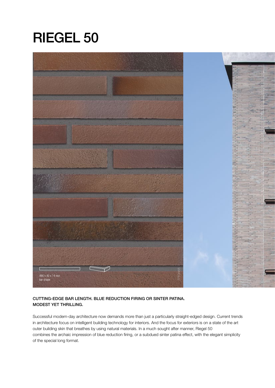# RIEGEL 50 RIEGEL 50



### CUTTING-EDGE BAR LENGTH. BLUE REDUCTION FIRING OR SINTER PATINA. MODEST YET THRILLING.

Successful modern-day architecture now demands more than just a particularly straight-edged design. Current trends in architecture focus on intelligent building technology for interiors. And the focus for exteriors is on a state of the art outer building skin that breathes by using natural materials. In a much sought after manner, Riegel 50 combines the archaic impression of blue reduction firing, or a subdued sinter patina effect, with the elegant simplicity of the special long format.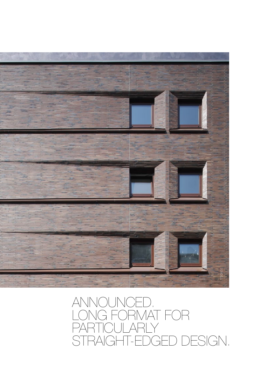

## ANNOUNCED. LONG FORMAT FOR **PARTICULARLY** STRAIGHT-EDGED DESIGN.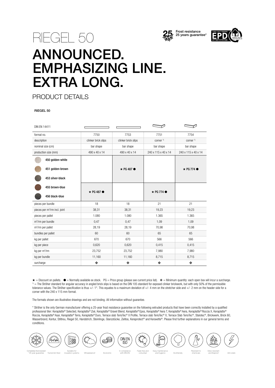



## ANNOUNCED. EMPHASIZING LINE. EXTRA LONG.

PRODUCT DETAILS

RIEGEL 50

| <b>DIN EN 14411</b>                       |                          |                          |                          |                          |
|-------------------------------------------|--------------------------|--------------------------|--------------------------|--------------------------|
| format no.                                | 7750                     | 7753                     | 7751                     | 7754                     |
| description                               | clinker brick slips      | clinker brick slips      | corner $1$               | corner <sup>1)</sup>     |
| nominal size (cm)                         | bar shape                | bar shape                | bar shape                | bar shape                |
| production size (mm)                      | 490 x 40 x 14            | 490 x 40 x 14            | 240 x 115 x 40 x 14      | 240 x 115 x 40 x 14      |
| 450 golden-white                          |                          |                          |                          |                          |
| 451 golden-brown                          |                          | $\star$ PG 487 $\bullet$ |                          | $\star$ PG 774 $\bullet$ |
| 453 silver-black                          |                          |                          |                          |                          |
| 455 brown-blue                            | $\star$ PG 487 $\bullet$ |                          | $\star$ PG 774 $\bullet$ |                          |
| 456 black-blue                            |                          |                          |                          |                          |
| pieces per bundle                         | 18                       | 18                       | 21                       | 21                       |
| pieces per m <sup>2</sup> /rm incl. joint | 38,31                    | 38,31                    | 19,23                    | 19,23                    |
| pieces per pallet                         | 1.080                    | 1.080                    | 1.365                    | 1.365                    |
| m <sup>2</sup> /rm per bundle             | 0,47                     | 0,47                     | 1,09                     | 1,09                     |
| m <sup>2</sup> /rm per pallet             | 28,19                    | 28,19                    | 70,98                    | 70,98                    |
| bundles per pallet                        | 60                       | 60                       | 65                       | 65                       |
| kg per pallet                             | 670                      | 670                      | 566                      | 566                      |
| kg per piece                              | 0,620                    | 0,620                    | 0,415                    | 0,415                    |
| kg per m <sup>2</sup> /rm                 | 23,752                   | 23,752                   | 7,980                    | 7,980                    |
| kg per bundle                             | 11,160                   | 11,160                   | 8,715                    | 8,715                    |
| surcharge                                 | ❖                        | ❖                        | ❖                        | ❖                        |

★ = Discount on pallets. ● = Normally available ex stock. PG = Price group (please see current price list). ❖ = Minimum quantity: each open box will incur a surcharge. 1) = The Ströher standard for angular accuracy in angled brick slips is based on the DIN 105 standard for exposed clinker brickwork, but with only 50% of the permissible tolerance values. The Ströher specification is thus +/- 1°. This equates to a maximum deviation of +/- 4 mm on the stretcher side and +/- 2 mm on the header side for a corner with the 240 x 115 mm format.

The formats shown are illustrative drawings and are not binding. All information without guarantee.

\* Ströher is the only German manufacturer offering a 25-year frost resistance guarantee on the following extruded products that have been correctly installed by a qualified professional tiler: Keraplatte® Selected, Keraplatte® Zoé, Keraplatte® Gravel Blend, Keraplatte® Epos, Keraplatte® Aera T, Keraplatte® Aera, Keraplatte® Roccia X, Keraplatte® Roccia, Keraplatte® Asar, Keraplatte® Terra, Keraplatte® Duro, Terrace slab TerioTec® X Profile, Terrace slab TerioTec® X, Terrace Slab TerioTec®, Stalotec®, Brickwerk, Brick 60, Wasserbrand, Kontur, Stiltreu, Riegel 50, Handstrich, Steinlinge, Glanzstücke, Zeitlos, Keraprotect® and Keravette®. Please find further explanations in our general terms and conditions.